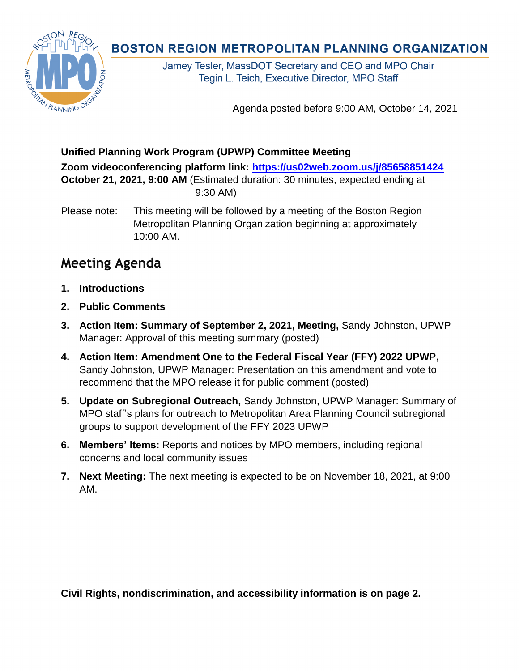## **Unified Planning Work Program (UPWP) Committee Meeting**

**Zoom videoconferencing platform link:<https://us02web.zoom.us/j/85658851424> October 21, 2021, 9:00 AM** (Estimated duration: 30 minutes, expected ending at 9:30 AM)

Please note: This meeting will be followed by a meeting of the Boston Region Metropolitan Planning Organization beginning at approximately 10:00 AM.

## **Meeting Agenda**

- **1. Introductions**
- **2. Public Comments**
- **3. Action Item: Summary of September 2, 2021, Meeting,** Sandy Johnston, UPWP Manager: Approval of this meeting summary (posted)
- **4. Action Item: Amendment One to the Federal Fiscal Year (FFY) 2022 UPWP,** Sandy Johnston, UPWP Manager: Presentation on this amendment and vote to recommend that the MPO release it for public comment (posted)
- **5. Update on Subregional Outreach,** Sandy Johnston, UPWP Manager: Summary of MPO staff's plans for outreach to Metropolitan Area Planning Council subregional groups to support development of the FFY 2023 UPWP
- **6. Members' Items:** Reports and notices by MPO members, including regional concerns and local community issues
- **7. Next Meeting:** The next meeting is expected to be on November 18, 2021, at 9:00 AM.

**Civil Rights, nondiscrimination, and accessibility information is on page 2.**